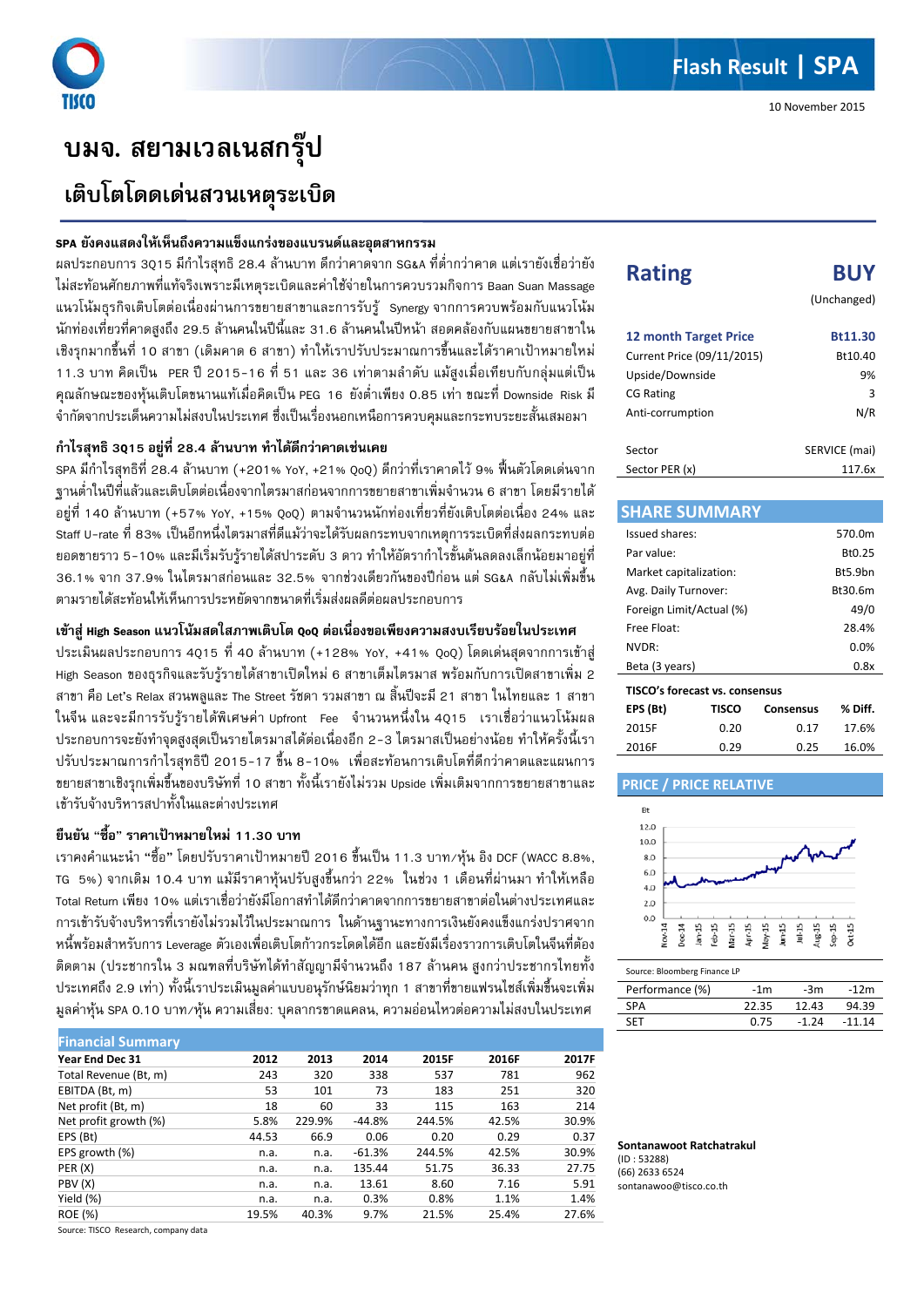# **บมจ. สยามเวลเนสกรุป เติบโตโดดเดนสวนเหตุระเบิด**

### **SPA ยังคงแสดงใหเห็นถึงความแข็งแกรงของแบรนดและอุตสาหกรรม**

ผลประกอบการ 3Q15 มีกําไรสุทธิ 28.4 ลานบาท ดีกวาคาดจาก SG&A ที่ต่ํากวาคาด แตเรายังเชื่อวายัง ไม่สะท้อนศักยภาพที่แท้จริงเพราะมีเหตุระเบิดและค่าใช้จ่ายในการควบรวมกิจการ Baan Suan Massage แนวโนมธุรกิจเติบโตตอเนื่องผานการขยายสาขาและการรับรู Synergy จากการควบพรอมกับแนวโนม ้นักท่องเที่ยวที่คาดสูงถึง 29.5 ล้านคนในปีนี้และ 31.6 ล้านคนในปีหน้า สอดคล้องกับแผนขยายสาขาใน เชิงรุกมากขึ้นที่ 10 สาขา (เดิมคาด 6 สาขา) ทําใหเราปรับประมาณการขึ้นและไดราคาเปาหมายใหม 11.3 บาท คิดเปน PER ป 2015-16 ที่ 51 และ 36 เทาตามลําดับ แมสูงเมื่อเทียบกับกลุมแตเปน คุณลักษณะของหุนเติบโตขนานแทเมื่อคิดเปน PEG 16 ยังต่ําเพียง 0.85 เทา ขณะที่ Downside Risk มี จํากัดจากประเด็นความไมสงบในประเทศ ซึ่งเปนเรื่องนอกเหนือการควบคุมและกระทบระยะสั้นเสมอมา

## **กําไรสุทธิ 3Q15 อยูที่ 28.4 ลานบาท ทําไดดีกวาคาดเชนเคย**

SPA มีกําไรสุทธิที่ 28.4 ลานบาท (+201% YoY, +21% QoQ) ดีกวาที่เราคาดไว 9% ฟนตัวโดดเดนจาก ฐานต่ําในปที่แลวและเติบโตตอเนื่องจากไตรมาสกอนจากการขยายสาขาเพิ่มจํานวน 6 สาขา โดยมีรายได อยูที่ 140 ลานบาท (+57% YoY, +15% QoQ) ตามจํานวนนักทองเที่ยวที่ยังเติบโตตอเนื่อง 24% และ Staff U-rate ที่ 83% เป็นอีกหนึ่งไตรมาสที่ดีแม้ว่าจะได้รับผลกระทบจากเหตุการระเบิดที่ส่งผลกระทบต่อ ียอดขายราว 5-10% และมีเริ่มรับรัรายได้สปาระดับ 3 ดาว ทำให้อัตรากำไรขั้นต้นลดลงเล็กน้อยมาอยู่ที่ 36.1% จาก 37.9% ในไตรมาสกอนและ 32.5% จากชวงเดียวกันของปกอน แต SG&A กลับไมเพิ่มขึ้น ตามรายไดสะทอนใหเห็นการประหยัดจากขนาดที่เริ่มสงผลดีตอผลประกอบการ

## **เขาสู High Season แนวโนมสดใสภาพเติบโต QoQ ตอเนื่องขอเพียงความสงบเรียบรอยในประเทศ**

ประเมินผลประกอบการ 4Q15 ที่ 40 ลานบาท (+128% YoY, +41% QoQ) โดดเดนสุดจากการเขาสู High Season ของธุรกิจและรับรูรายไดสาขาเปดใหม 6 สาขาเต็มไตรมาส พรอมกับการเปดสาขาเพิ่ม 2 สาขา คือ Let's Relax สวนพลูและ The Street รัชดา รวมสาขา ณ สิ้นปจะมี 21 สาขา ในไทยและ 1 สาขา ในจีน และจะมีการรับรู้รายได้พิเศษค่า Upfront Fee จำนวนหนึ่งใน 4Q15 เราเชื่อว่าแนวโน้มผล ีประกอบการจะยังทำจุดสูงสุดเป็นรายไตรมาสได้ต่อเนื่องอีก 2-3 ไตรมาสเป็นอย่างน้อย ทำให้ครั้งนี้เรา ปรับประมาณการกําไรสุทธิป 2015-17 ขึ้น 8-10% เพื่อสะทอนการเติบโตที่ดีกวาคาดและแผนการ ขยายสาขาเชิงรุกเพิ่มขึ้นของบริษัทที่ 10 สาขา ทั้งนี้เรายังไมรวม Upside เพิ่มเติมจากการขยายสาขาและ เขารับจางบริหารสปาทั้งในและตางประเทศ

## **ยืนยัน** "**ซื้อ**" **ราคาเปาหมายใหม 11.30 บาท**

เราคงคําแนะนํา "ซื้อ" โดยปรับราคาเปาหมายป2016 ขึ้นเปน 11.3 บาท/หุน อิง DCF (WACC 8.8%, TG 5%) จากเดิม 10.4 บาท แมมีราคาหุนปรับสูงขึ้นกวา 22% ในชวง 1 เดือนที่ผานมา ทําใหเหลือ Total Return เพียง 10% แตเราเชื่อวายังมีโอกาสทําไดดีกวาคาดจากการขยายสาขาตอในตางประเทศและ การเขารับจางบริหารที่เรายังไมรวมไวในประมาณการ ในดานฐานะทางการเงินยังคงแข็งแกรงปราศจาก หนี้พรอมสําหรับการ Leverage ตัวเองเพื่อเติบโตกาวกระโดดไดอีก และยังมีเรื่องราวการเติบโตในจีนที่ตอง ้ติดตาม (ประชากรใน 3 มณฑลที่บริษัทได้ทำสัญญามีจำนวนถึง 187 ล้านคน สูงกว่าประชากรไทยทั้ง ประเทศถึง 2.9 เทา) ทั้งนี้เราประเมินมูลคาแบบอนุรักษนิยมวาทุก 1 สาขาที่ขายแฟรนไชสเพิ่มขึ้นจะเพิ่ม มูลคาหุน SPA 0.10 บาท/หุน ความเสี่ยง: บุคลากรขาดแคลน, ความออนไหวตอความไมสงบในประเทศ

| <b>Financial Summary</b> |       |        |          |        |       |       |
|--------------------------|-------|--------|----------|--------|-------|-------|
| Year End Dec 31          | 2012  | 2013   | 2014     | 2015F  | 2016F | 2017F |
| Total Revenue (Bt, m)    | 243   | 320    | 338      | 537    | 781   | 962   |
| EBITDA (Bt, m)           | 53    | 101    | 73       | 183    | 251   | 320   |
| Net profit (Bt, m)       | 18    | 60     | 33       | 115    | 163   | 214   |
| Net profit growth (%)    | 5.8%  | 229.9% | $-44.8%$ | 244.5% | 42.5% | 30.9% |
| EPS (Bt)                 | 44.53 | 66.9   | 0.06     | 0.20   | 0.29  | 0.37  |
| EPS growth (%)           | n.a.  | n.a.   | $-61.3%$ | 244.5% | 42.5% | 30.9% |
| PER (X)                  | n.a.  | n.a.   | 135.44   | 51.75  | 36.33 | 27.75 |
| PBV (X)                  | n.a.  | n.a.   | 13.61    | 8.60   | 7.16  | 5.91  |
| Yield (%)                | n.a.  | n.a.   | 0.3%     | 0.8%   | 1.1%  | 1.4%  |
| <b>ROE (%)</b>           | 19.5% | 40.3%  | 9.7%     | 21.5%  | 25.4% | 27.6% |

Source: TISCO Research, company data

| ,,,,,,,,,                    | --            |
|------------------------------|---------------|
|                              | (Unchanged)   |
| <b>12 month Target Price</b> | Bt11.30       |
| Current Price (09/11/2015)   | Bt10.40       |
| Upside/Downside              | 9%            |
| <b>CG Rating</b>             | 3             |
| Anti-corrumption             | N/R           |
| Sector                       | SERVICE (mai) |
| Sector PER (x)               | 117.6x        |

**Rating BUY**

| <b>SHARE SUMMARY</b>     |                                |           |         |
|--------------------------|--------------------------------|-----------|---------|
| Issued shares:           |                                |           | 570.0m  |
| Par value:               |                                |           | Bt0.25  |
| Market capitalization:   |                                |           | Rt5.9hn |
| Avg. Daily Turnover:     |                                |           | Bt30.6m |
| Foreign Limit/Actual (%) |                                |           | 49/0    |
| Free Float:              | 28.4%                          |           |         |
| NVDR:                    |                                |           | $0.0\%$ |
| Beta (3 years)           |                                |           | 0.8x    |
|                          | TISCO's forecast vs. consensus |           |         |
| EPS (Bt)                 | TISCO                          | Consensus | % Diff. |
| 2015F                    | በ.2በ                           | 0.17      | 17.6%   |





2016F 0.29 0.25 16.0%

Source: Bloomberg Finance LP

| Performance (%) | $-1m$ | -3m   | $-12m$   |
|-----------------|-------|-------|----------|
| <b>SPA</b>      | 22.35 | 12.43 | 94.39    |
| <b>SFT</b>      | 0.75  | -1 24 | $-11.14$ |

**Sontanawoot Ratchatrakul** (ID : 53288) (66) 2633 6524 sontanawoo@tisco.co.th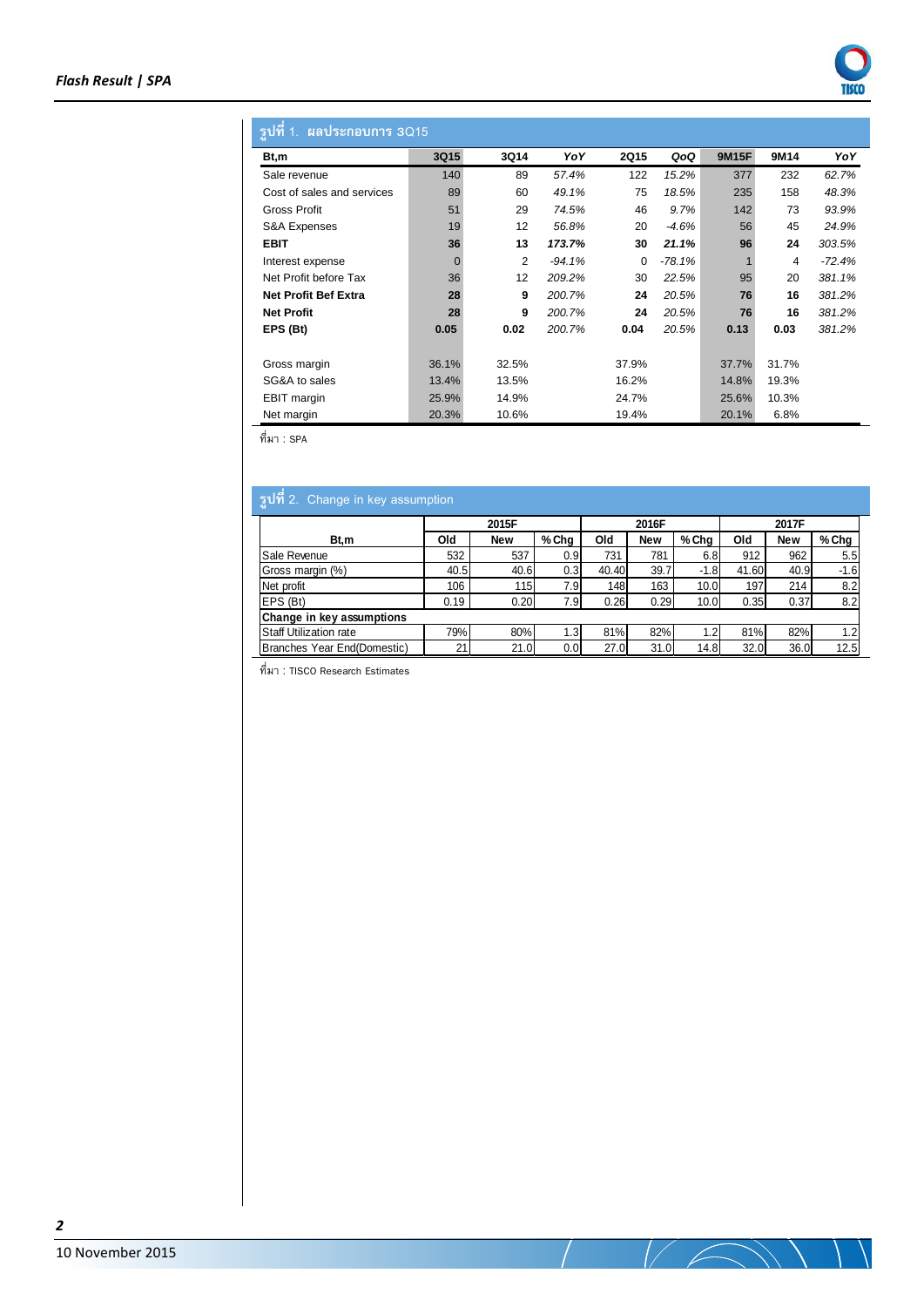

## **รูปที่1. ผลประกอบการ 3Q15**

| Bt,m                        | 3Q15     | 3Q14  | YoY      | 2Q15  | QoQ     | <b>9M15F</b> | 9M14  | YoY      |
|-----------------------------|----------|-------|----------|-------|---------|--------------|-------|----------|
| Sale revenue                | 140      | 89    | 57.4%    | 122   | 15.2%   | 377          | 232   | 62.7%    |
| Cost of sales and services  | 89       | 60    | 49.1%    | 75    | 18.5%   | 235          | 158   | 48.3%    |
| Gross Profit                | 51       | 29    | 74.5%    | 46    | 9.7%    | 142          | 73    | 93.9%    |
| <b>S&amp;A Expenses</b>     | 19       | 12    | 56.8%    | 20    | $-4.6%$ | 56           | 45    | 24.9%    |
| <b>EBIT</b>                 | 36       | 13    | 173.7%   | 30    | 21.1%   | 96           | 24    | 303.5%   |
| Interest expense            | $\Omega$ | 2     | $-94.1%$ | 0     | -78.1%  |              | 4     | $-72.4%$ |
| Net Profit before Tax       | 36       | 12    | 209.2%   | 30    | 22.5%   | 95           | 20    | 381.1%   |
| <b>Net Profit Bef Extra</b> | 28       | 9     | 200.7%   | 24    | 20.5%   | 76           | 16    | 381.2%   |
| <b>Net Profit</b>           | 28       | 9     | 200.7%   | 24    | 20.5%   | 76           | 16    | 381.2%   |
| EPS (Bt)                    | 0.05     | 0.02  | 200.7%   | 0.04  | 20.5%   | 0.13         | 0.03  | 381.2%   |
|                             |          |       |          |       |         |              |       |          |
| Gross margin                | 36.1%    | 32.5% |          | 37.9% |         | 37.7%        | 31.7% |          |
| SG&A to sales               | 13.4%    | 13.5% |          | 16.2% |         | 14.8%        | 19.3% |          |
| EBIT margin                 | 25.9%    | 14.9% |          | 24.7% |         | 25.6%        | 10.3% |          |
| Net margin                  | 20.3%    | 10.6% |          | 19.4% |         | 20.1%        | 6.8%  |          |

 $\frac{1}{\eta}$ ที่มา : SPA

 $\overline{a}$ 

| <b>รปที่</b> 2.<br>Change in key assumption |      |            |       |       |            |        |       |            |         |
|---------------------------------------------|------|------------|-------|-------|------------|--------|-------|------------|---------|
|                                             |      | 2015F      |       |       | 2016F      |        |       | 2017F      |         |
| Bt.m                                        | Old  | <b>New</b> | % Cha | Old   | <b>New</b> | % Cha  | Old   | <b>New</b> | $%$ Chg |
| Sale Revenue                                | 532  | 537        | 0.9   | 731   | 781        | 6.8    | 912   | 962        | 5.5     |
| Gross margin (%)                            | 40.5 | 40.6       | 0.3   | 40.40 | 39.7       | $-1.8$ | 41.60 | 40.9       | $-1.6$  |
| Net profit                                  | 106  | 115        | 7.9   | 148   | 163        | 10.0   | 197   | 214        | 8.2     |
| EPS (Bt)                                    | 0.19 | 0.20       | 7.9   | 0.26  | 0.29       | 10.0   | 0.35  | 0.37       | 8.2     |
| Change in key assumptions                   |      |            |       |       |            |        |       |            |         |
| <b>Staff Utilization rate</b>               | 79%  | 80%        | .3'   | 81%   | 82%        |        | 81%   | 82%        | 1.2     |
| Branches Year End(Domestic)                 | 21   | 21.0       | 0.0   | 27.0  | 31.0       | 14.8   | 32.0  | 36.0       | 12.5    |

—<br>ที่มา : TISCO Research Estimates